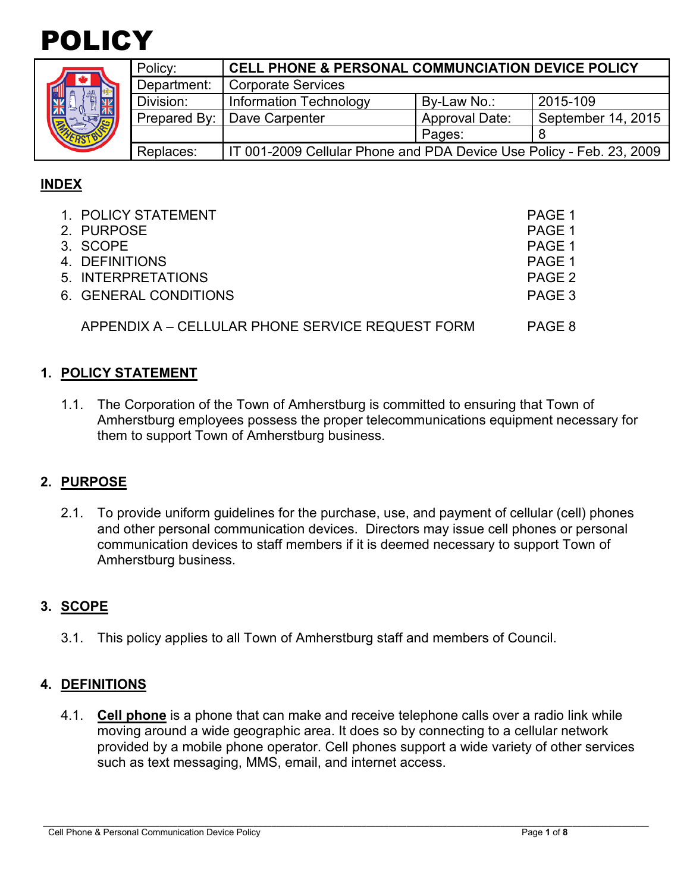

|  | Policy:     | <b>CELL PHONE &amp; PERSONAL COMMUNCIATION DEVICE POLICY</b>         |                       |                    |  |  |
|--|-------------|----------------------------------------------------------------------|-----------------------|--------------------|--|--|
|  | Department: | Corporate Services                                                   |                       |                    |  |  |
|  | Division:   | <b>Information Technology</b>                                        | By-Law No.:           | 2015-109           |  |  |
|  |             | Prepared By:   Dave Carpenter                                        | <b>Approval Date:</b> | September 14, 2015 |  |  |
|  |             |                                                                      | Pages:                |                    |  |  |
|  | Replaces:   | IT 001-2009 Cellular Phone and PDA Device Use Policy - Feb. 23, 2009 |                       |                    |  |  |

# **INDEX**

| 1. POLICY STATEMENT<br>2. PURPOSE<br>3. SCOPE<br>4. DEFINITIONS<br>5. INTERPRETATIONS | PAGE 1<br>PAGE 1<br>PAGE 1<br>PAGE 1<br>PAGE 2 |
|---------------------------------------------------------------------------------------|------------------------------------------------|
| 6. GENERAL CONDITIONS<br>APPENDIX A - CELLULAR PHONE SERVICE REQUEST FORM             | PAGE 3<br>PAGE 8                               |
|                                                                                       |                                                |

## **1. POLICY STATEMENT**

1.1. The Corporation of the Town of Amherstburg is committed to ensuring that Town of Amherstburg employees possess the proper telecommunications equipment necessary for them to support Town of Amherstburg business.

#### **2. PURPOSE**

2.1. To provide uniform guidelines for the purchase, use, and payment of cellular (cell) phones and other personal communication devices. Directors may issue cell phones or personal communication devices to staff members if it is deemed necessary to support Town of Amherstburg business.

#### **3. SCOPE**

3.1. This policy applies to all Town of Amherstburg staff and members of Council.

#### **4. DEFINITIONS**

4.1. **Cell phone** is a phone that can make and receive telephone calls over a radio link while moving around a wide geographic area. It does so by connecting to a cellular network provided by a mobile phone operator. Cell phones support a wide variety of other services such as text messaging, MMS, email, and internet access.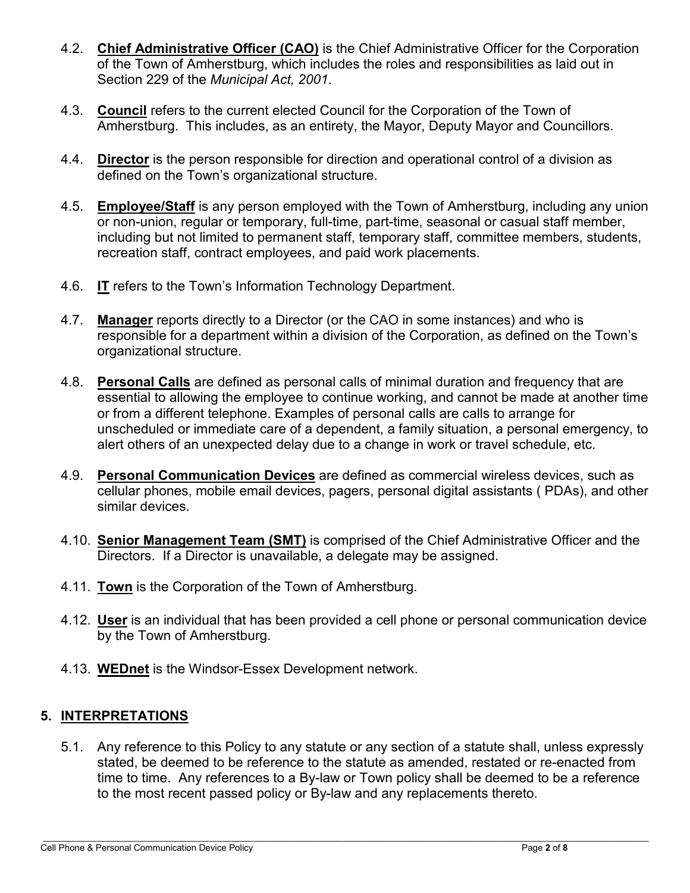- 4.2. **Chief Administrative Officer (CAO)** is the Chief Administrative Officer for the Corporation of the Town of Amherstburg, which includes the roles and responsibilities as laid out in Section 229 of the *Municipal Act, 2001*.
- 4.3. **Council** refers to the current elected Council for the Corporation of the Town of Amherstburg. This includes, as an entirety, the Mayor, Deputy Mayor and Councillors.
- 4.4. **Director** is the person responsible for direction and operational control of a division as defined on the Town's organizational structure.
- 4.5. **Employee/Staff** is any person employed with the Town of Amherstburg, including any union or non-union, regular or temporary, full-time, part-time, seasonal or casual staff member, including but not limited to permanent staff, temporary staff, committee members, students, recreation staff, contract employees, and paid work placements.
- 4.6. **IT** refers to the Town's Information Technology Department.
- 4.7. **Manager** reports directly to a Director (or the CAO in some instances) and who is responsible for a department within a division of the Corporation, as defined on the Town's organizational structure.
- 4.8. **Personal Calls** are defined as personal calls of minimal duration and frequency that are essential to allowing the employee to continue working, and cannot be made at another time or from a different telephone. Examples of personal calls are calls to arrange for unscheduled or immediate care of a dependent, a family situation, a personal emergency, to alert others of an unexpected delay due to a change in work or travel schedule, etc.
- 4.9. **Personal Communication Devices** are defined as commercial wireless devices, such as cellular phones, mobile email devices, pagers, personal digital assistants ( PDAs), and other similar devices.
- 4.10. **Senior Management Team (SMT)** is comprised of the Chief Administrative Officer and the Directors. If a Director is unavailable, a delegate may be assigned.
- 4.11. **Town** is the Corporation of the Town of Amherstburg.
- 4.12. **User** is an individual that has been provided a cell phone or personal communication device by the Town of Amherstburg.
- 4.13. **WEDnet** is the Windsor-Essex Development network.

# **5. INTERPRETATIONS**

5.1. Any reference to this Policy to any statute or any section of a statute shall, unless expressly stated, be deemed to be reference to the statute as amended, restated or re-enacted from time to time. Any references to a By-law or Town policy shall be deemed to be a reference to the most recent passed policy or By-law and any replacements thereto.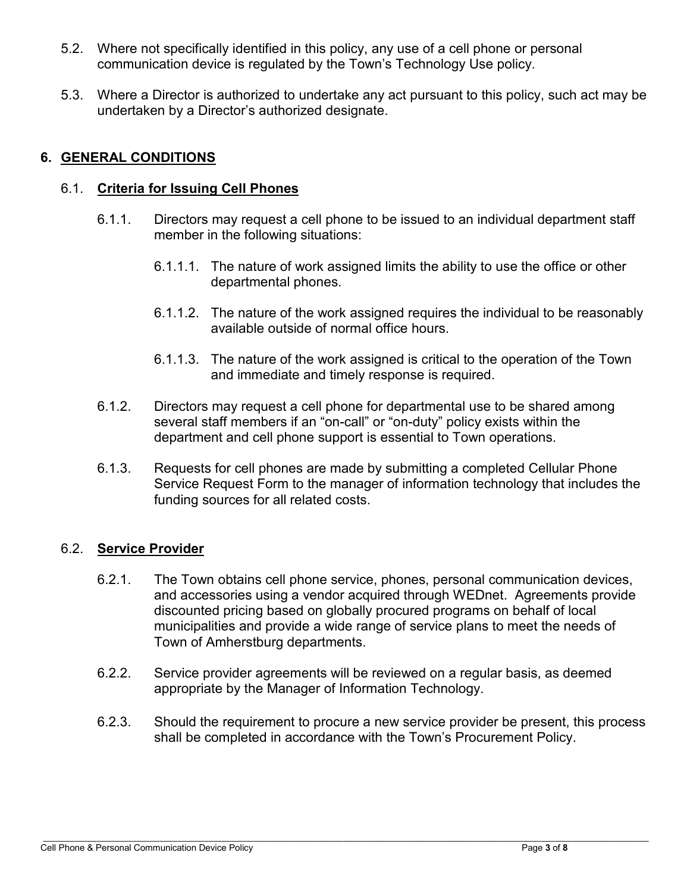- 5.2. Where not specifically identified in this policy, any use of a cell phone or personal communication device is regulated by the Town's Technology Use policy.
- 5.3. Where a Director is authorized to undertake any act pursuant to this policy, such act may be undertaken by a Director's authorized designate.

# **6. GENERAL CONDITIONS**

## 6.1. **Criteria for Issuing Cell Phones**

- 6.1.1. Directors may request a cell phone to be issued to an individual department staff member in the following situations:
	- 6.1.1.1. The nature of work assigned limits the ability to use the office or other departmental phones.
	- 6.1.1.2. The nature of the work assigned requires the individual to be reasonably available outside of normal office hours.
	- 6.1.1.3. The nature of the work assigned is critical to the operation of the Town and immediate and timely response is required.
- 6.1.2. Directors may request a cell phone for departmental use to be shared among several staff members if an "on-call" or "on-duty" policy exists within the department and cell phone support is essential to Town operations.
- 6.1.3. Requests for cell phones are made by submitting a completed Cellular Phone Service Request Form to the manager of information technology that includes the funding sources for all related costs.

## 6.2. **Service Provider**

- 6.2.1. The Town obtains cell phone service, phones, personal communication devices, and accessories using a vendor acquired through WEDnet. Agreements provide discounted pricing based on globally procured programs on behalf of local municipalities and provide a wide range of service plans to meet the needs of Town of Amherstburg departments.
- 6.2.2. Service provider agreements will be reviewed on a regular basis, as deemed appropriate by the Manager of Information Technology.
- 6.2.3. Should the requirement to procure a new service provider be present, this process shall be completed in accordance with the Town's Procurement Policy.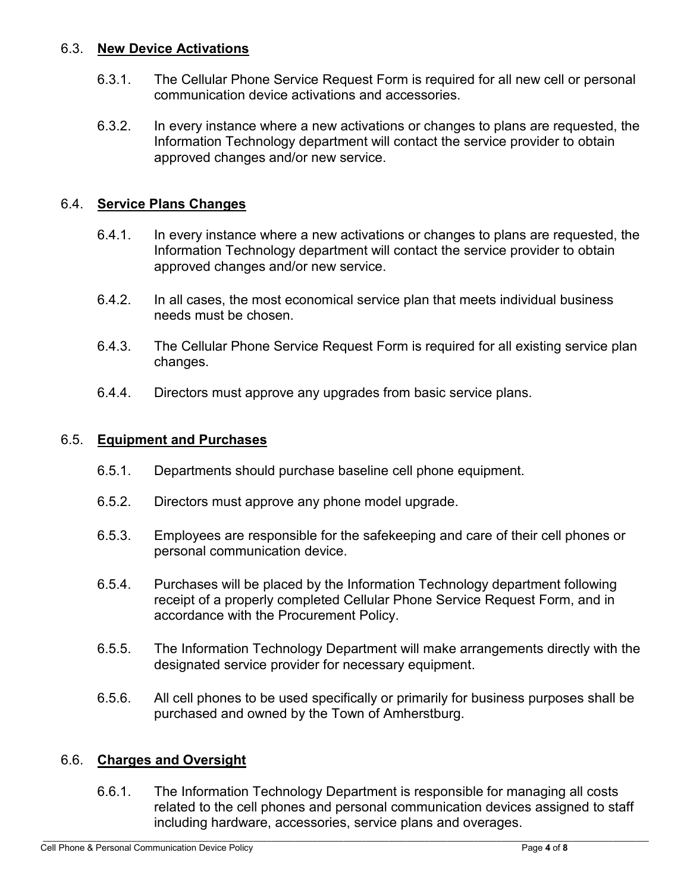### 6.3. **New Device Activations**

- 6.3.1. The Cellular Phone Service Request Form is required for all new cell or personal communication device activations and accessories.
- 6.3.2. In every instance where a new activations or changes to plans are requested, the Information Technology department will contact the service provider to obtain approved changes and/or new service.

## 6.4. **Service Plans Changes**

- 6.4.1. In every instance where a new activations or changes to plans are requested, the Information Technology department will contact the service provider to obtain approved changes and/or new service.
- 6.4.2. In all cases, the most economical service plan that meets individual business needs must be chosen.
- 6.4.3. The Cellular Phone Service Request Form is required for all existing service plan changes.
- 6.4.4. Directors must approve any upgrades from basic service plans.

### 6.5. **Equipment and Purchases**

- 6.5.1. Departments should purchase baseline cell phone equipment.
- 6.5.2. Directors must approve any phone model upgrade.
- 6.5.3. Employees are responsible for the safekeeping and care of their cell phones or personal communication device.
- 6.5.4. Purchases will be placed by the Information Technology department following receipt of a properly completed Cellular Phone Service Request Form, and in accordance with the Procurement Policy.
- 6.5.5. The Information Technology Department will make arrangements directly with the designated service provider for necessary equipment.
- 6.5.6. All cell phones to be used specifically or primarily for business purposes shall be purchased and owned by the Town of Amherstburg.

## 6.6. **Charges and Oversight**

6.6.1. The Information Technology Department is responsible for managing all costs related to the cell phones and personal communication devices assigned to staff including hardware, accessories, service plans and overages.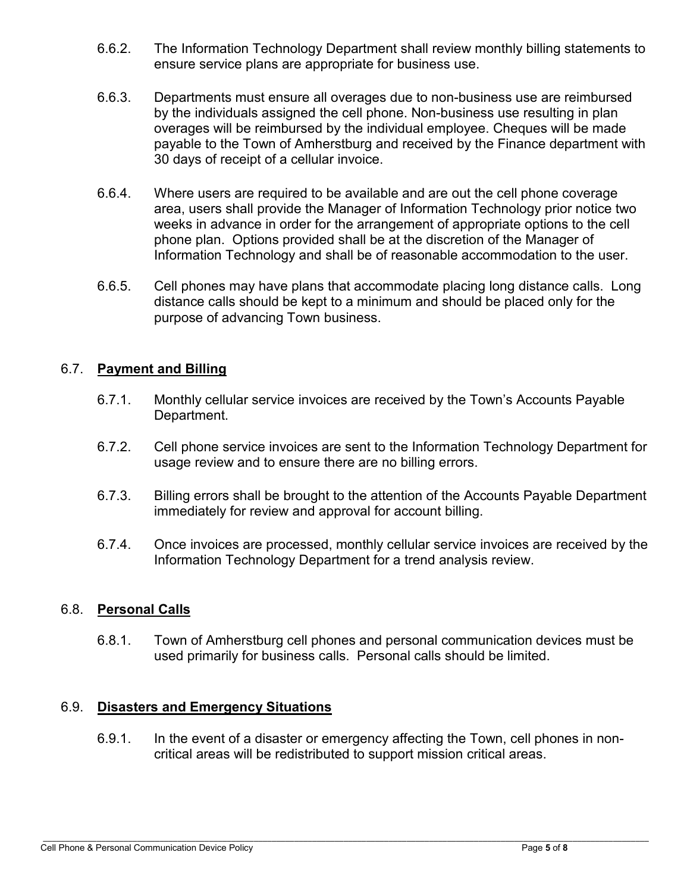- 6.6.2. The Information Technology Department shall review monthly billing statements to ensure service plans are appropriate for business use.
- 6.6.3. Departments must ensure all overages due to non-business use are reimbursed by the individuals assigned the cell phone. Non-business use resulting in plan overages will be reimbursed by the individual employee. Cheques will be made payable to the Town of Amherstburg and received by the Finance department with 30 days of receipt of a cellular invoice.
- 6.6.4. Where users are required to be available and are out the cell phone coverage area, users shall provide the Manager of Information Technology prior notice two weeks in advance in order for the arrangement of appropriate options to the cell phone plan. Options provided shall be at the discretion of the Manager of Information Technology and shall be of reasonable accommodation to the user.
- 6.6.5. Cell phones may have plans that accommodate placing long distance calls. Long distance calls should be kept to a minimum and should be placed only for the purpose of advancing Town business.

## 6.7. **Payment and Billing**

- 6.7.1. Monthly cellular service invoices are received by the Town's Accounts Payable Department.
- 6.7.2. Cell phone service invoices are sent to the Information Technology Department for usage review and to ensure there are no billing errors.
- 6.7.3. Billing errors shall be brought to the attention of the Accounts Payable Department immediately for review and approval for account billing.
- 6.7.4. Once invoices are processed, monthly cellular service invoices are received by the Information Technology Department for a trend analysis review.

#### 6.8. **Personal Calls**

6.8.1. Town of Amherstburg cell phones and personal communication devices must be used primarily for business calls. Personal calls should be limited.

#### 6.9. **Disasters and Emergency Situations**

6.9.1. In the event of a disaster or emergency affecting the Town, cell phones in noncritical areas will be redistributed to support mission critical areas.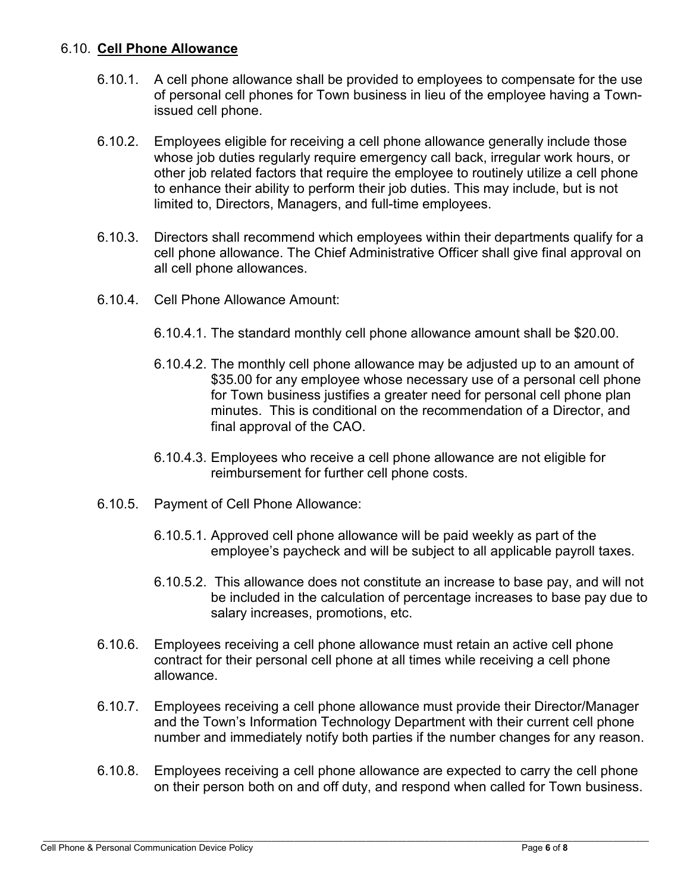### 6.10. **Cell Phone Allowance**

- 6.10.1. A cell phone allowance shall be provided to employees to compensate for the use of personal cell phones for Town business in lieu of the employee having a Townissued cell phone.
- 6.10.2. Employees eligible for receiving a cell phone allowance generally include those whose job duties regularly require emergency call back, irregular work hours, or other job related factors that require the employee to routinely utilize a cell phone to enhance their ability to perform their job duties. This may include, but is not limited to, Directors, Managers, and full-time employees.
- 6.10.3. Directors shall recommend which employees within their departments qualify for a cell phone allowance. The Chief Administrative Officer shall give final approval on all cell phone allowances.
- 6.10.4. Cell Phone Allowance Amount:
	- 6.10.4.1. The standard monthly cell phone allowance amount shall be \$20.00.
	- 6.10.4.2. The monthly cell phone allowance may be adjusted up to an amount of \$35.00 for any employee whose necessary use of a personal cell phone for Town business justifies a greater need for personal cell phone plan minutes. This is conditional on the recommendation of a Director, and final approval of the CAO.
	- 6.10.4.3. Employees who receive a cell phone allowance are not eligible for reimbursement for further cell phone costs.
- 6.10.5. Payment of Cell Phone Allowance:
	- 6.10.5.1. Approved cell phone allowance will be paid weekly as part of the employee's paycheck and will be subject to all applicable payroll taxes.
	- 6.10.5.2. This allowance does not constitute an increase to base pay, and will not be included in the calculation of percentage increases to base pay due to salary increases, promotions, etc.
- 6.10.6. Employees receiving a cell phone allowance must retain an active cell phone contract for their personal cell phone at all times while receiving a cell phone allowance.
- 6.10.7. Employees receiving a cell phone allowance must provide their Director/Manager and the Town's Information Technology Department with their current cell phone number and immediately notify both parties if the number changes for any reason.
- 6.10.8. Employees receiving a cell phone allowance are expected to carry the cell phone on their person both on and off duty, and respond when called for Town business.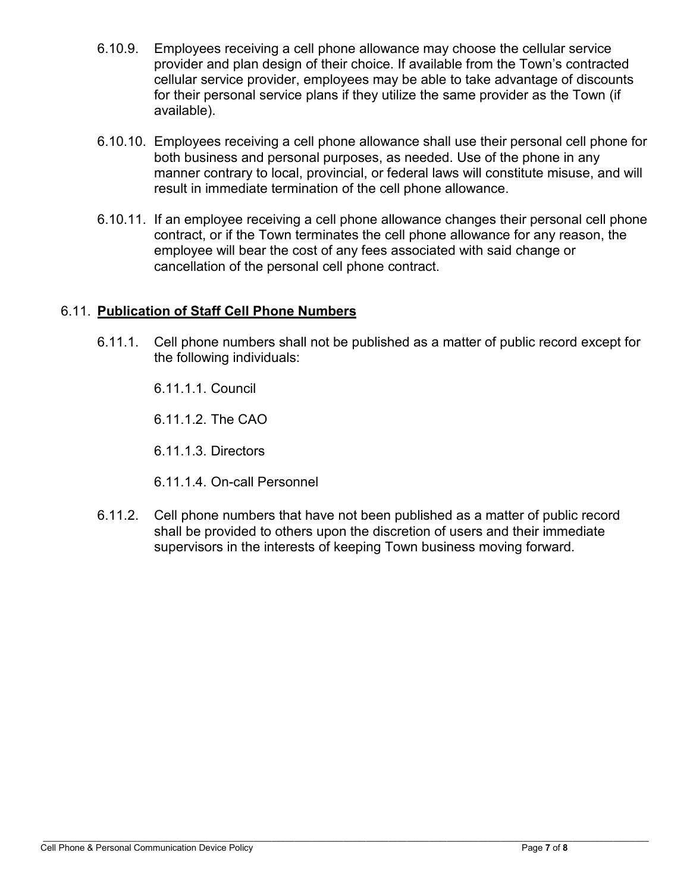- 6.10.9. Employees receiving a cell phone allowance may choose the cellular service provider and plan design of their choice. If available from the Town's contracted cellular service provider, employees may be able to take advantage of discounts for their personal service plans if they utilize the same provider as the Town (if available).
- 6.10.10. Employees receiving a cell phone allowance shall use their personal cell phone for both business and personal purposes, as needed. Use of the phone in any manner contrary to local, provincial, or federal laws will constitute misuse, and will result in immediate termination of the cell phone allowance.
- 6.10.11. If an employee receiving a cell phone allowance changes their personal cell phone contract, or if the Town terminates the cell phone allowance for any reason, the employee will bear the cost of any fees associated with said change or cancellation of the personal cell phone contract.

## 6.11. **Publication of Staff Cell Phone Numbers**

6.11.1. Cell phone numbers shall not be published as a matter of public record except for the following individuals:

6.11.1.1. Council

6.11.1.2. The CAO

6.11.1.3. Directors

6.11.1.4. On-call Personnel

6.11.2. Cell phone numbers that have not been published as a matter of public record shall be provided to others upon the discretion of users and their immediate supervisors in the interests of keeping Town business moving forward.